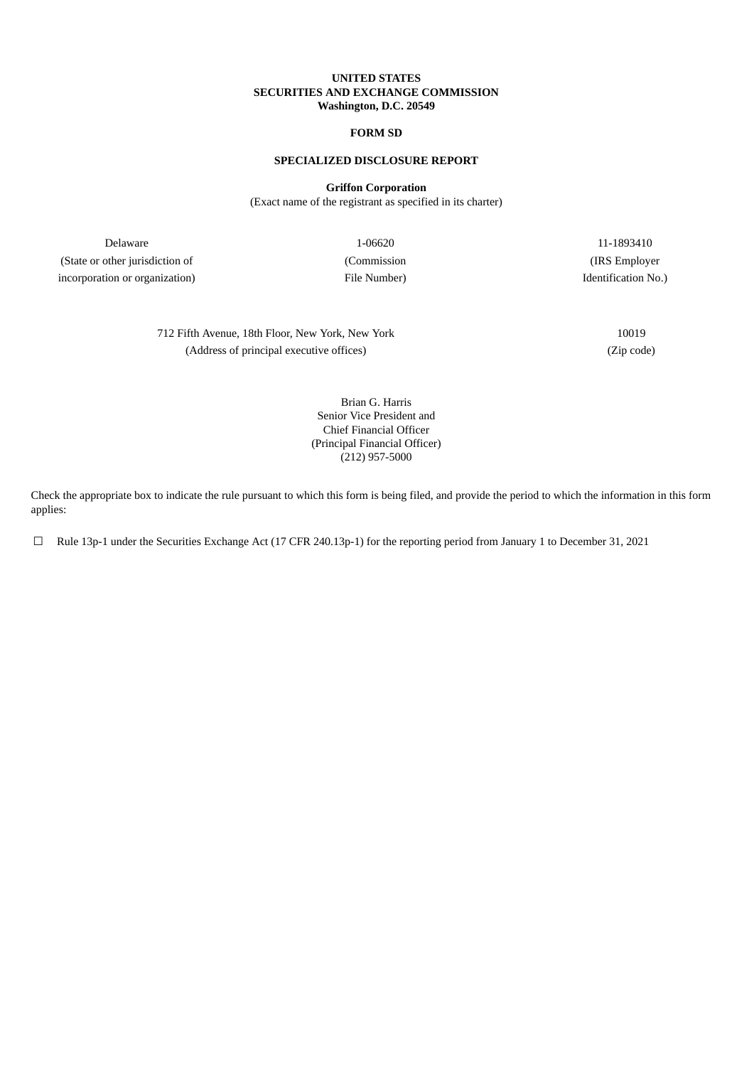## **UNITED STATES SECURITIES AND EXCHANGE COMMISSION Washington, D.C. 20549**

# **FORM SD**

## **SPECIALIZED DISCLOSURE REPORT**

**Griffon Corporation**

(Exact name of the registrant as specified in its charter)

Delaware 1-06620 11-1893410 (State or other jurisdiction of (Commission (IRS Employer incorporation or organization) File Number) File Number (Identification No.)

712 Fifth Avenue, 18th Floor, New York, New York 10019 (Address of principal executive offices) (Zip code)

Brian G. Harris Senior Vice President and Chief Financial Officer (Principal Financial Officer) (212) 957-5000

Check the appropriate box to indicate the rule pursuant to which this form is being filed, and provide the period to which the information in this form applies:

☐ Rule 13p-1 under the Securities Exchange Act (17 CFR 240.13p-1) for the reporting period from January 1 to December 31, 2021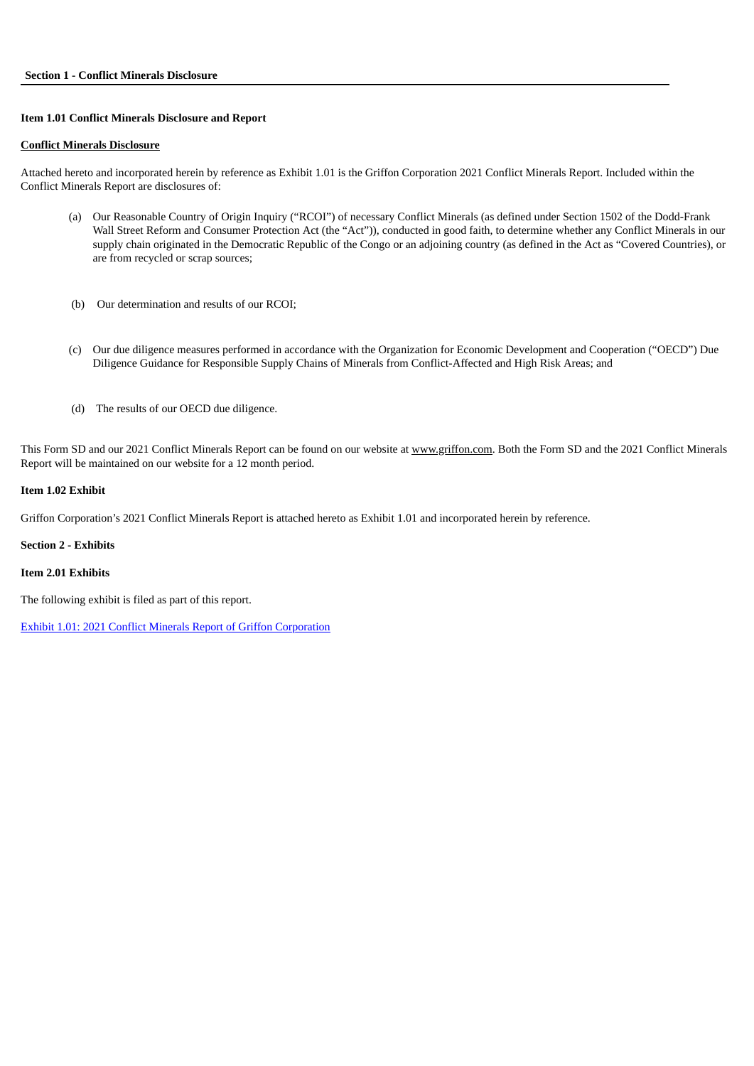## **Item 1.01 Conflict Minerals Disclosure and Report**

#### **Conflict Minerals Disclosure**

Attached hereto and incorporated herein by reference as Exhibit 1.01 is the Griffon Corporation 2021 Conflict Minerals Report. Included within the Conflict Minerals Report are disclosures of:

- (a) Our Reasonable Country of Origin Inquiry ("RCOI") of necessary Conflict Minerals (as defined under Section 1502 of the Dodd-Frank Wall Street Reform and Consumer Protection Act (the "Act")), conducted in good faith, to determine whether any Conflict Minerals in our supply chain originated in the Democratic Republic of the Congo or an adjoining country (as defined in the Act as "Covered Countries), or are from recycled or scrap sources;
- (b) Our determination and results of our RCOI;
- (c) Our due diligence measures performed in accordance with the Organization for Economic Development and Cooperation ("OECD") Due Diligence Guidance for Responsible Supply Chains of Minerals from Conflict-Affected and High Risk Areas; and
- (d) The results of our OECD due diligence.

This Form SD and our 2021 Conflict Minerals Report can be found on our website at www.griffon.com. Both the Form SD and the 2021 Conflict Minerals Report will be maintained on our website for a 12 month period.

## **Item 1.02 Exhibit**

Griffon Corporation's 2021 Conflict Minerals Report is attached hereto as Exhibit 1.01 and incorporated herein by reference.

## **Section 2 - Exhibits**

## **Item 2.01 Exhibits**

The following exhibit is filed as part of this report.

Exhibit 1.01: 2021 Conflict Minerals Report of Griffon [Corporation](#page-3-0)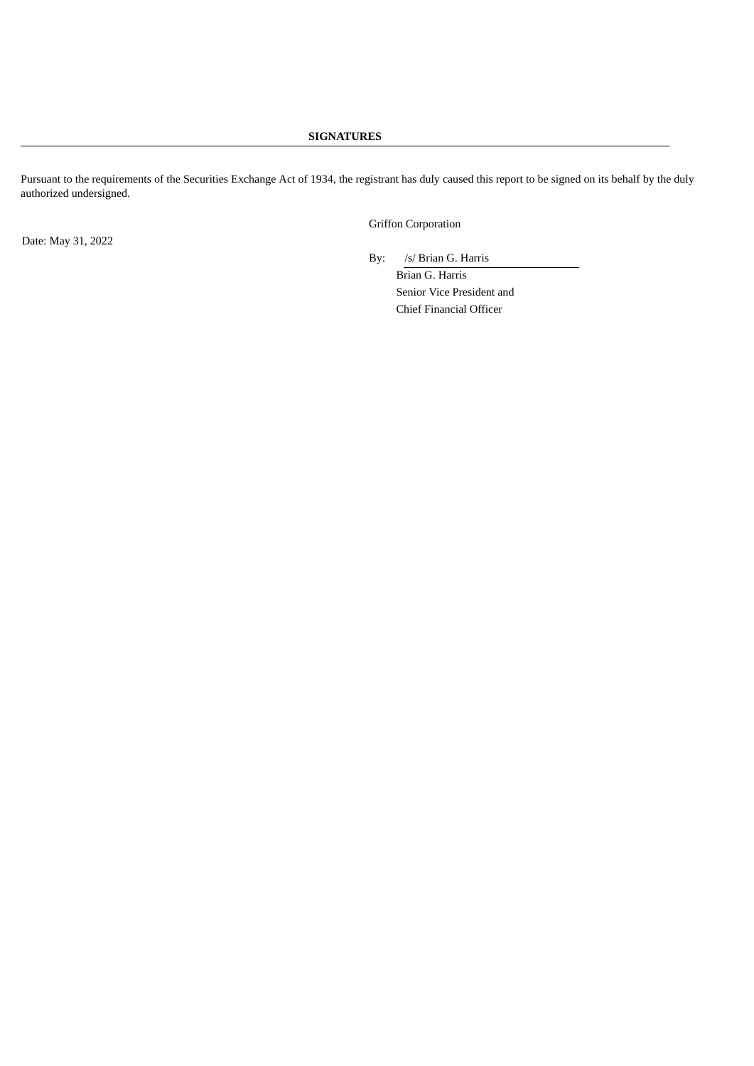# **SIGNATURES**

Pursuant to the requirements of the Securities Exchange Act of 1934, the registrant has duly caused this report to be signed on its behalf by the duly authorized undersigned.

Griffon Corporation

Date: May 31, 2022

By: /s/ Brian G. Harris

Brian G. Harris Senior Vice President and Chief Financial Officer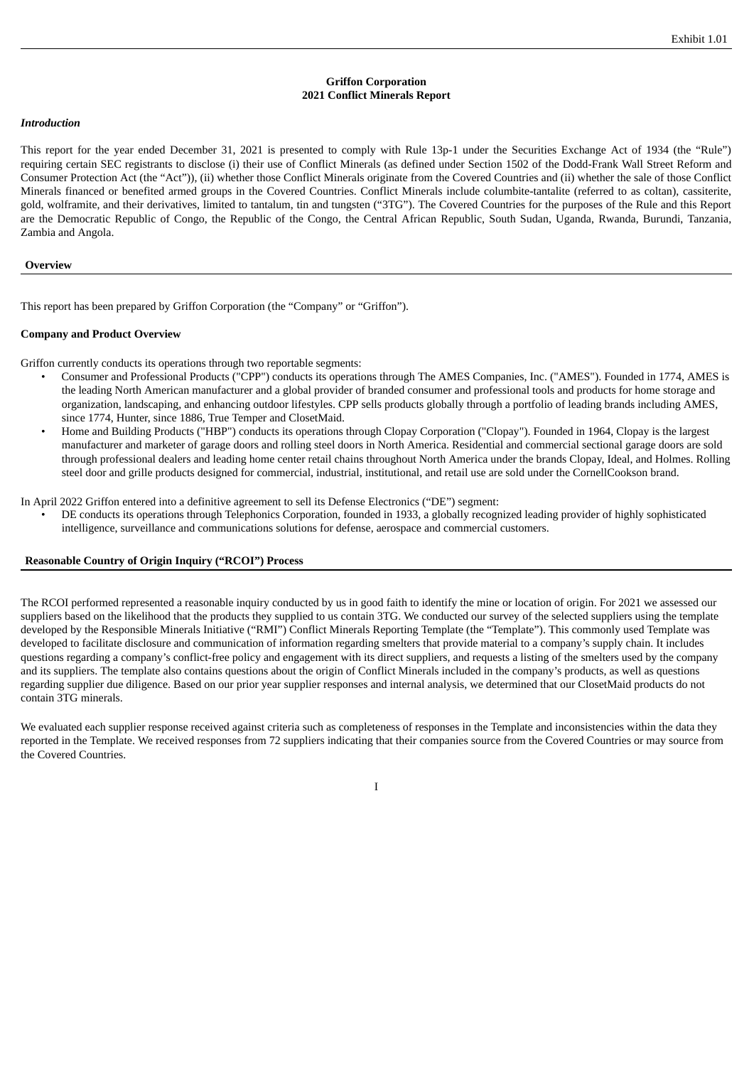## **Griffon Corporation 2021 Conflict Minerals Report**

#### <span id="page-3-0"></span>*Introduction*

This report for the year ended December 31, 2021 is presented to comply with Rule 13p-1 under the Securities Exchange Act of 1934 (the "Rule") requiring certain SEC registrants to disclose (i) their use of Conflict Minerals (as defined under Section 1502 of the Dodd-Frank Wall Street Reform and Consumer Protection Act (the "Act")), (ii) whether those Conflict Minerals originate from the Covered Countries and (ii) whether the sale of those Conflict Minerals financed or benefited armed groups in the Covered Countries. Conflict Minerals include columbite-tantalite (referred to as coltan), cassiterite, gold, wolframite, and their derivatives, limited to tantalum, tin and tungsten ("3TG"). The Covered Countries for the purposes of the Rule and this Report are the Democratic Republic of Congo, the Republic of the Congo, the Central African Republic, South Sudan, Uganda, Rwanda, Burundi, Tanzania, Zambia and Angola.

#### **Overview**

This report has been prepared by Griffon Corporation (the "Company" or "Griffon").

#### **Company and Product Overview**

Griffon currently conducts its operations through two reportable segments:

- Consumer and Professional Products ("CPP") conducts its operations through The AMES Companies, Inc. ("AMES"). Founded in 1774, AMES is the leading North American manufacturer and a global provider of branded consumer and professional tools and products for home storage and organization, landscaping, and enhancing outdoor lifestyles. CPP sells products globally through a portfolio of leading brands including AMES, since 1774, Hunter, since 1886, True Temper and ClosetMaid.
- Home and Building Products ("HBP") conducts its operations through Clopay Corporation ("Clopay"). Founded in 1964, Clopay is the largest manufacturer and marketer of garage doors and rolling steel doors in North America. Residential and commercial sectional garage doors are sold through professional dealers and leading home center retail chains throughout North America under the brands Clopay, Ideal, and Holmes. Rolling steel door and grille products designed for commercial, industrial, institutional, and retail use are sold under the CornellCookson brand.

In April 2022 Griffon entered into a definitive agreement to sell its Defense Electronics ("DE") segment:

• DE conducts its operations through Telephonics Corporation, founded in 1933, a globally recognized leading provider of highly sophisticated intelligence, surveillance and communications solutions for defense, aerospace and commercial customers.

## **Reasonable Country of Origin Inquiry ("RCOI") Process**

The RCOI performed represented a reasonable inquiry conducted by us in good faith to identify the mine or location of origin. For 2021 we assessed our suppliers based on the likelihood that the products they supplied to us contain 3TG. We conducted our survey of the selected suppliers using the template developed by the Responsible Minerals Initiative ("RMI") Conflict Minerals Reporting Template (the "Template"). This commonly used Template was developed to facilitate disclosure and communication of information regarding smelters that provide material to a company's supply chain. It includes questions regarding a company's conflict-free policy and engagement with its direct suppliers, and requests a listing of the smelters used by the company and its suppliers. The template also contains questions about the origin of Conflict Minerals included in the company's products, as well as questions regarding supplier due diligence. Based on our prior year supplier responses and internal analysis, we determined that our ClosetMaid products do not contain 3TG minerals.

We evaluated each supplier response received against criteria such as completeness of responses in the Template and inconsistencies within the data they reported in the Template. We received responses from 72 suppliers indicating that their companies source from the Covered Countries or may source from the Covered Countries.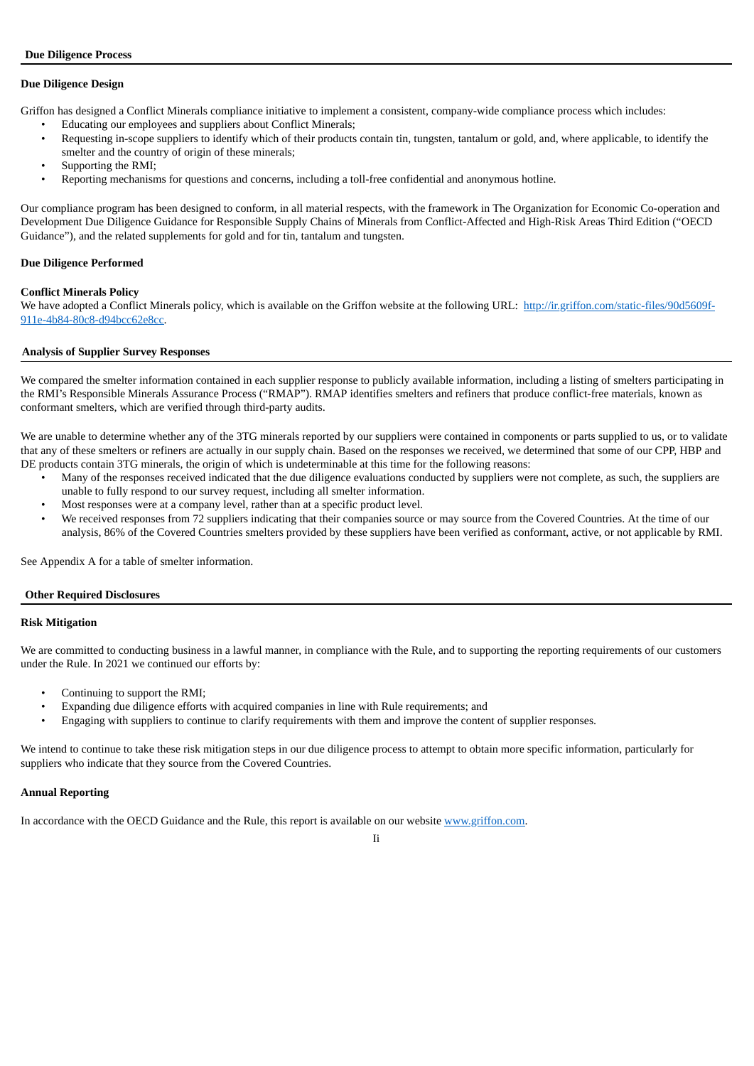## **Due Diligence Design**

Griffon has designed a Conflict Minerals compliance initiative to implement a consistent, company-wide compliance process which includes:

- Educating our employees and suppliers about Conflict Minerals;
- Requesting in-scope suppliers to identify which of their products contain tin, tungsten, tantalum or gold, and, where applicable, to identify the smelter and the country of origin of these minerals;
- Supporting the RMI;
- Reporting mechanisms for questions and concerns, including a toll-free confidential and anonymous hotline.

Our compliance program has been designed to conform, in all material respects, with the framework in The Organization for Economic Co-operation and Development Due Diligence Guidance for Responsible Supply Chains of Minerals from Conflict-Affected and High-Risk Areas Third Edition ("OECD Guidance"), and the related supplements for gold and for tin, tantalum and tungsten.

## **Due Diligence Performed**

#### **Conflict Minerals Policy**

We have adopted a Conflict Minerals policy, which is available on the Griffon website at the following URL: http://ir.griffon.com/static-files/90d5609f-911e-4b84-80c8-d94bcc62e8cc.

## **Analysis of Supplier Survey Responses**

We compared the smelter information contained in each supplier response to publicly available information, including a listing of smelters participating in the RMI's Responsible Minerals Assurance Process ("RMAP"). RMAP identifies smelters and refiners that produce conflict-free materials, known as conformant smelters, which are verified through third-party audits.

We are unable to determine whether any of the 3TG minerals reported by our suppliers were contained in components or parts supplied to us, or to validate that any of these smelters or refiners are actually in our supply chain. Based on the responses we received, we determined that some of our CPP, HBP and DE products contain 3TG minerals, the origin of which is undeterminable at this time for the following reasons:

- Many of the responses received indicated that the due diligence evaluations conducted by suppliers were not complete, as such, the suppliers are unable to fully respond to our survey request, including all smelter information.
- Most responses were at a company level, rather than at a specific product level.
- We received responses from 72 suppliers indicating that their companies source or may source from the Covered Countries. At the time of our analysis, 86% of the Covered Countries smelters provided by these suppliers have been verified as conformant, active, or not applicable by RMI.

See Appendix A for a table of smelter information.

#### **Other Required Disclosures**

## **Risk Mitigation**

We are committed to conducting business in a lawful manner, in compliance with the Rule, and to supporting the reporting requirements of our customers under the Rule. In 2021 we continued our efforts by:

- Continuing to support the RMI;
- Expanding due diligence efforts with acquired companies in line with Rule requirements; and
- Engaging with suppliers to continue to clarify requirements with them and improve the content of supplier responses.

We intend to continue to take these risk mitigation steps in our due diligence process to attempt to obtain more specific information, particularly for suppliers who indicate that they source from the Covered Countries.

#### **Annual Reporting**

In accordance with the OECD Guidance and the Rule, this report is available on our website www.griffon.com.

Ii